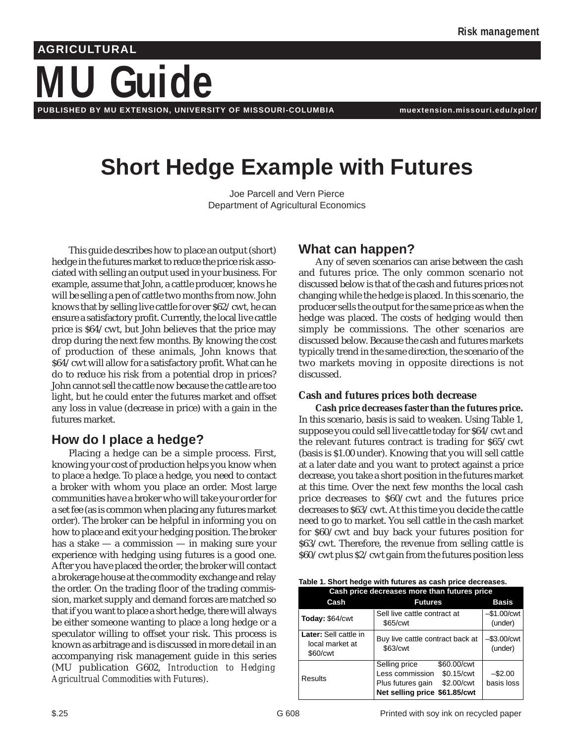# **Guide AGRICULTURAL**

**PUBLISHED BY MU EXTENSION, UNIVERSITY OF MISSOURI-COLUMBIA muextension.missouri.edu/xplor/**

## **Short Hedge Example with Futures**

Joe Parcell and Vern Pierce Department of Agricultural Economics

This guide describes how to place an output (short) hedge in the futures market to reduce the price risk associated with selling an output used in your business. For example, assume that John, a cattle producer, knows he will be selling a pen of cattle two months from now. John knows that by selling live cattle for over \$62/cwt, he can ensure a satisfactory profit. Currently, the local live cattle price is \$64/cwt, but John believes that the price may drop during the next few months. By knowing the cost of production of these animals, John knows that \$64/cwt will allow for a satisfactory profit. What can he do to reduce his risk from a potential drop in prices? John cannot sell the cattle now because the cattle are too light, but he could enter the futures market and offset any loss in value (decrease in price) with a gain in the futures market.

## **How do I place a hedge?**

Placing a hedge can be a simple process. First, knowing your cost of production helps you know when to place a hedge. To place a hedge, you need to contact a broker with whom you place an order. Most large communities have a broker who will take your order for a set fee (as is common when placing any futures market order). The broker can be helpful in informing you on how to place and exit your hedging position. The broker has a stake — a commission — in making sure your experience with hedging using futures is a good one. After you have placed the order, the broker will contact a brokerage house at the commodity exchange and relay the order. On the trading floor of the trading commission, market supply and demand forces are matched so that if you want to place a short hedge, there will always be either someone wanting to place a long hedge or a speculator willing to offset your risk. This process is known as arbitrage and is discussed in more detail in an accompanying risk management guide in this series (MU publication G602, *Introduction to Hedging Agricultrual Commodities with Futures)*.

### **What can happen?**

Any of seven scenarios can arise between the cash and futures price. The only common scenario not discussed below is that of the cash and futures prices not changing while the hedge is placed. In this scenario, the producer sells the output for the same price as when the hedge was placed. The costs of hedging would then simply be commissions. The other scenarios are discussed below. Because the cash and futures markets typically trend in the same direction, the scenario of the two markets moving in opposite directions is not discussed.

### **Cash and futures prices both decrease**

**Cash price decreases faster than the futures price.** In this scenario, basis is said to weaken. Using Table 1, suppose you could sell live cattle today for \$64/cwt and the relevant futures contract is trading for \$65/cwt (basis is \$1.00 under). Knowing that you will sell cattle at a later date and you want to protect against a price decrease, you take a short position in the futures market at this time. Over the next few months the local cash price decreases to \$60/cwt and the futures price decreases to \$63/cwt. At this time you decide the cattle need to go to market. You sell cattle in the cash market for \$60/cwt and buy back your futures position for \$63/cwt. Therefore, the revenue from selling cattle is \$60/cwt plus \$2/cwt gain from the futures position less

|  |  |  |  | Table 1. Short hedge with futures as cash price decreases. |
|--|--|--|--|------------------------------------------------------------|
|--|--|--|--|------------------------------------------------------------|

| Cash price decreases more than futures price         |                                                                                                                                   |                           |  |
|------------------------------------------------------|-----------------------------------------------------------------------------------------------------------------------------------|---------------------------|--|
| Cash                                                 | <b>Futures</b>                                                                                                                    | <b>Basis</b>              |  |
| Today: \$64/cwt                                      | Sell live cattle contract at<br>\$65/cwt                                                                                          | $-$1.00/cwt$<br>(under)   |  |
| Later: Sell cattle in<br>local market at<br>\$60/cwt | Buy live cattle contract back at<br>\$63/cwt                                                                                      | $-$ \$3.00/cwt<br>(under) |  |
| Results                                              | Selling price<br>\$60.00/cwt<br>Less commission<br>\$0.15/cwt<br>Plus futures gain<br>\$2.00/cwt<br>Net selling price \$61.85/cwt | $-$2.00$<br>basis loss    |  |